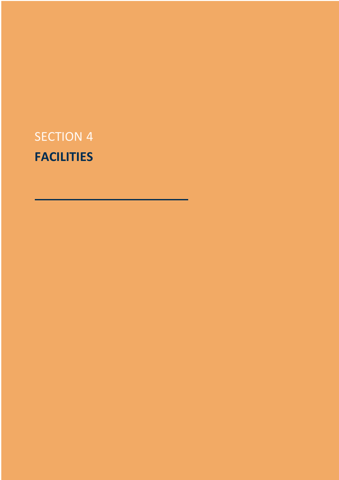# SECTION 4 **FACILITIES**